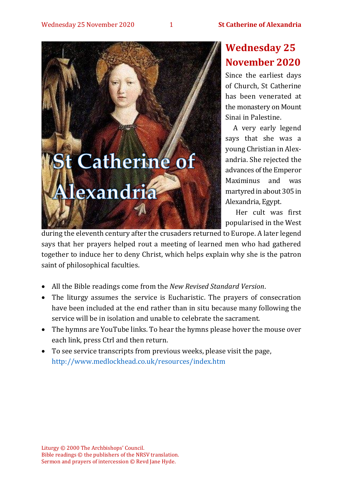

# **Wednesday 25 November 2020**

Since the earliest days of Church, St Catherine has been venerated at the monastery on Mount Sinai in Palestine.

A very early legend says that she was a young Christian in Alexandria. She rejected the advances of the Emperor Maximinus and was martyred in about 305 in Alexandria, Egypt.

Her cult was first popularised in the West

during the eleventh century after the crusaders returned to Europe. A later legend says that her prayers helped rout a meeting of learned men who had gathered together to induce her to deny Christ, which helps explain why she is the patron saint of philosophical faculties.

- All the Bible readings come from the *New Revised Standard Version*.
- The liturgy assumes the service is Eucharistic. The prayers of consecration have been included at the end rather than in situ because many following the service will be in isolation and unable to celebrate the sacrament.
- The hymns are YouTube links. To hear the hymns please hover the mouse over each link, press Ctrl and then return.
- To see service transcripts from previous weeks, please visit the page, <http://www.medlockhead.co.uk/resources/index.htm>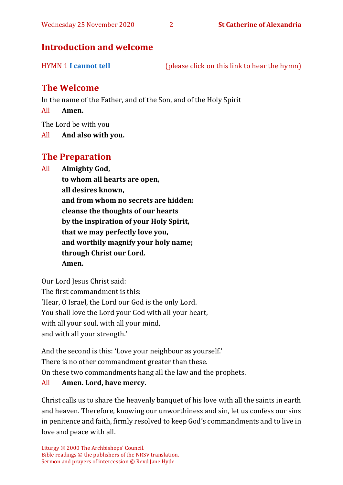# **Introduction and welcome**

HYMN 1 **[I cannot tell](https://www.youtube.com/watch?v=62wk5KvI7-w)** (please click on this link to hear the hymn)

# **The Welcome**

In the name of the Father, and of the Son, and of the Holy Spirit

All **Amen.**

The Lord be with you

All **And also with you.**

## **The Preparation**

All **Almighty God,**

**to whom all hearts are open, all desires known, and from whom no secrets are hidden: cleanse the thoughts of our hearts by the inspiration of your Holy Spirit, that we may perfectly love you, and worthily magnify your holy name; through Christ our Lord. Amen.**

Our Lord Jesus Christ said: The first commandment is this: 'Hear, O Israel, the Lord our God is the only Lord. You shall love the Lord your God with all your heart, with all your soul, with all your mind, and with all your strength.'

And the second is this: 'Love your neighbour as yourself.' There is no other commandment greater than these. On these two commandments hang all the law and the prophets. All **Amen. Lord, have mercy.**

Christ calls us to share the heavenly banquet of his love with all the saints in earth and heaven. Therefore, knowing our unworthiness and sin, let us confess our sins in penitence and faith, firmly resolved to keep God's commandments and to live in love and peace with all.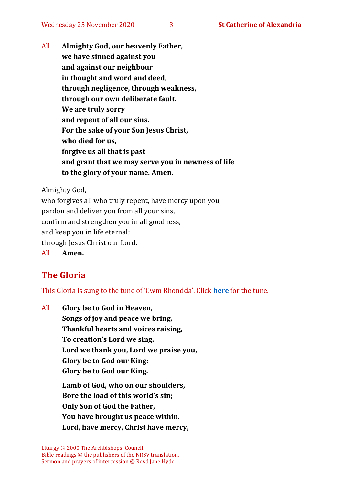All **Almighty God, our heavenly Father, we have sinned against you and against our neighbour in thought and word and deed, through negligence, through weakness, through our own deliberate fault. We are truly sorry and repent of all our sins. For the sake of your Son Jesus Christ, who died for us, forgive us all that is past and grant that we may serve you in newness of life to the glory of your name. Amen.**

Almighty God,

who forgives all who truly repent, have mercy upon you, pardon and deliver you from all your sins, confirm and strengthen you in all goodness, and keep you in life eternal; through Jesus Christ our Lord. All **Amen.**

# **The Gloria**

This Gloria is sung to the tune of 'Cwm Rhondda'. Click **[here](about:blank)** for the tune.

All **Glory be to God in Heaven, Songs of joy and peace we bring, Thankful hearts and voices raising, To creation's Lord we sing. Lord we thank you, Lord we praise you, Glory be to God our King: Glory be to God our King.**

**Lamb of God, who on our shoulders, Bore the load of this world's sin; Only Son of God the Father, You have brought us peace within. Lord, have mercy, Christ have mercy,**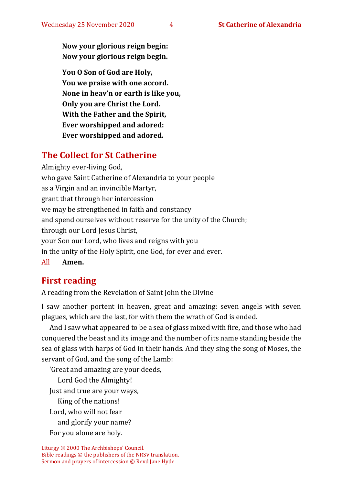**Now your glorious reign begin: Now your glorious reign begin.**

**You O Son of God are Holy, You we praise with one accord. None in heav'n or earth is like you, Only you are Christ the Lord. With the Father and the Spirit, Ever worshipped and adored: Ever worshipped and adored.**

# **The Collect for St Catherine**

Almighty ever-living God, who gave Saint Catherine of Alexandria to your people as a Virgin and an invincible Martyr, grant that through her intercession we may be strengthened in faith and constancy and spend ourselves without reserve for the unity of the Church; through our Lord Jesus Christ, your Son our Lord, who lives and reigns with you in the unity of the Holy Spirit, one God, for ever and ever. All **Amen.**

# **First reading**

A reading from the Revelation of Saint John the Divine

I saw another portent in heaven, great and amazing: seven angels with seven plagues, which are the last, for with them the wrath of God is ended.

And I saw what appeared to be a sea of glass mixed with fire, and those who had conquered the beast and its image and the number of its name standing beside the sea of glass with harps of God in their hands. And they sing the song of Moses, the servant of God, and the song of the Lamb:

'Great and amazing are your deeds, Lord God the Almighty! Just and true are your ways, King of the nations! Lord, who will not fear and glorify your name? For you alone are holy.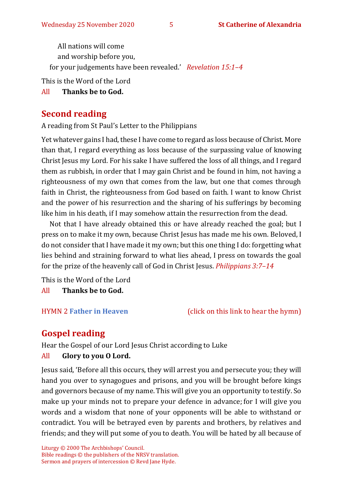All nations will come and worship before you, for your judgements have been revealed.' *Revelation 15:1–4*

This is the Word of the Lord

All **Thanks be to God.**

# **Second reading**

A reading from St Paul's Letter to the Philippians

Yet whatever gains I had, these I have come to regard as loss because of Christ. More than that, I regard everything as loss because of the surpassing value of knowing Christ Jesus my Lord. For his sake I have suffered the loss of all things, and I regard them as rubbish, in order that I may gain Christ and be found in him, not having a righteousness of my own that comes from the law, but one that comes through faith in Christ, the righteousness from God based on faith. I want to know Christ and the power of his resurrection and the sharing of his sufferings by becoming like him in his death, if I may somehow attain the resurrection from the dead.

Not that I have already obtained this or have already reached the goal; but I press on to make it my own, because Christ Jesus has made me his own. Beloved, I do not consider that I have made it my own; but this one thing I do: forgetting what lies behind and straining forward to what lies ahead, I press on towards the goal for the prize of the heavenly call of God in Christ Jesus. *Philippians 3:7–14*

This is the Word of the Lord All **Thanks be to God.**

HYMN 2 **[Father in Heaven](https://www.youtube.com/watch?v=BamB290iJU0)** (click on this link to hear the hymn)

# **Gospel reading**

Hear the Gospel of our Lord Jesus Christ according to Luke

### All **Glory to you O Lord.**

Jesus said, 'Before all this occurs, they will arrest you and persecute you; they will hand you over to synagogues and prisons, and you will be brought before kings and governors because of my name. This will give you an opportunity to testify. So make up your minds not to prepare your defence in advance; for I will give you words and a wisdom that none of your opponents will be able to withstand or contradict. You will be betrayed even by parents and brothers, by relatives and friends; and they will put some of you to death. You will be hated by all because of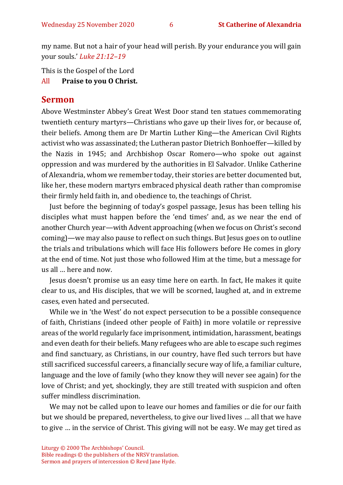my name. But not a hair of your head will perish. By your endurance you will gain your souls.' *Luke 21:12–19*

This is the Gospel of the Lord

All **Praise to you O Christ.** 

### **Sermon**

Above Westminster Abbey's Great West Door stand ten statues commemorating twentieth century martyrs—Christians who gave up their lives for, or because of, their beliefs. Among them are Dr Martin Luther King—the American Civil Rights activist who was assassinated; the Lutheran pastor Dietrich Bonhoeffer—killed by the Nazis in 1945; and Archbishop Oscar Romero—who spoke out against oppression and was murdered by the authorities in El Salvador. Unlike Catherine of Alexandria, whom we remember today, their stories are better documented but, like her, these modern martyrs embraced physical death rather than compromise their firmly held faith in, and obedience to, the teachings of Christ.

Just before the beginning of today's gospel passage, Jesus has been telling his disciples what must happen before the 'end times' and, as we near the end of another Church year—with Advent approaching (when we focus on Christ's second coming)—we may also pause to reflect on such things. But Jesus goes on to outline the trials and tribulations which will face His followers before He comes in glory at the end of time. Not just those who followed Him at the time, but a message for us all … here and now.

Jesus doesn't promise us an easy time here on earth. In fact, He makes it quite clear to us, and His disciples, that we will be scorned, laughed at, and in extreme cases, even hated and persecuted.

While we in 'the West' do not expect persecution to be a possible consequence of faith, Christians (indeed other people of Faith) in more volatile or repressive areas of the world regularly face imprisonment, intimidation, harassment, beatings and even death for their beliefs. Many refugees who are able to escape such regimes and find sanctuary, as Christians, in our country, have fled such terrors but have still sacrificed successful careers, a financially secure way of life, a familiar culture, language and the love of family (who they know they will never see again) for the love of Christ; and yet, shockingly, they are still treated with suspicion and often suffer mindless discrimination.

We may not be called upon to leave our homes and families or die for our faith but we should be prepared, nevertheless, to give our lived lives … all that we have to give … in the service of Christ. This giving will not be easy. We may get tired as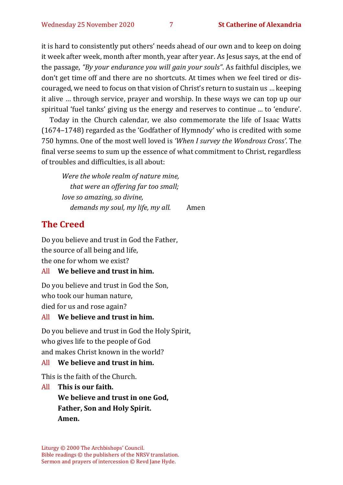it is hard to consistently put others' needs ahead of our own and to keep on doing it week after week, month after month, year after year. As Jesus says, at the end of the passage, *"By your endurance you will gain your souls"*. As faithful disciples, we don't get time off and there are no shortcuts. At times when we feel tired or discouraged, we need to focus on that vision of Christ's return to sustain us … keeping it alive … through service, prayer and worship. In these ways we can top up our spiritual 'fuel tanks' giving us the energy and reserves to continue ... to 'endure'.

Today in the Church calendar, we also commemorate the life of Isaac Watts (1674–1748) regarded as the 'Godfather of Hymnody' who is credited with some 750 hymns. One of the most well loved is *'When I survey the Wondrous Cross'*. The final verse seems to sum up the essence of what commitment to Christ, regardless of troubles and difficulties, is all about:

*Were the whole realm of nature mine, that were an offering far too small; love so amazing, so divine, demands my soul, my life, my all.* Amen

## **The Creed**

Do you believe and trust in God the Father, the source of all being and life, the one for whom we exist?

#### All **We believe and trust in him.**

Do you believe and trust in God the Son, who took our human nature, died for us and rose again?

#### All **We believe and trust in him.**

Do you believe and trust in God the Holy Spirit, who gives life to the people of God and makes Christ known in the world?

#### All **We believe and trust in him.**

This is the faith of the Church.

All **This is our faith. We believe and trust in one God, Father, Son and Holy Spirit. Amen.**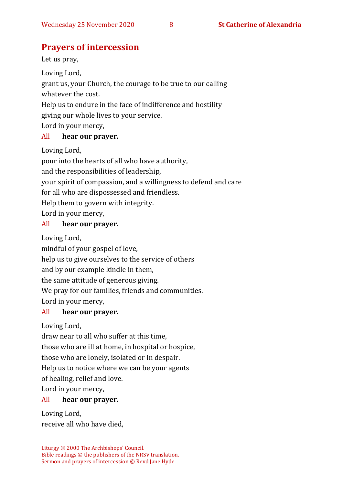# **Prayers of intercession**

Let us pray,

Loving Lord,

grant us, your Church, the courage to be true to our calling whatever the cost.

Help us to endure in the face of indifference and hostility

giving our whole lives to your service.

Lord in your mercy,

#### All **hear our prayer.**

Loving Lord,

pour into the hearts of all who have authority,

and the responsibilities of leadership,

your spirit of compassion, and a willingness to defend and care

for all who are dispossessed and friendless.

Help them to govern with integrity.

Lord in your mercy,

#### All **hear our prayer.**

Loving Lord,

mindful of your gospel of love,

help us to give ourselves to the service of others

and by our example kindle in them,

the same attitude of generous giving.

We pray for our families, friends and communities.

Lord in your mercy,

### All **hear our prayer.**

Loving Lord,

draw near to all who suffer at this time,

those who are ill at home, in hospital or hospice,

those who are lonely, isolated or in despair.

Help us to notice where we can be your agents

of healing, relief and love.

Lord in your mercy,

### All **hear our prayer.**

Loving Lord, receive all who have died,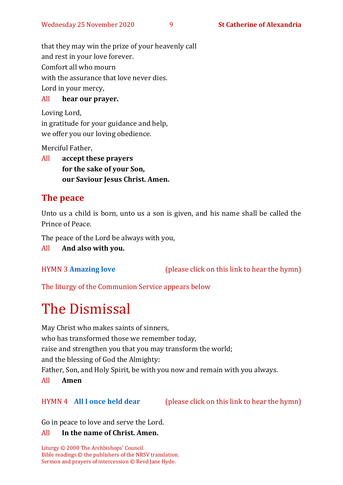that they may win the prize of your heavenly call and rest in your love forever. Comfort all who mourn with the assurance that love never dies. Lord in your mercy,

### All **hear our prayer.**

Loving Lord, in gratitude for your guidance and help, we offer you our loving obedience.

Merciful Father,

All **accept these prayers for the sake of your Son, our Saviour Jesus Christ. Amen.**

# **The peace**

Unto us a child is born, unto us a son is given, and his name shall be called the Prince of Peace.

The peace of the Lord be always with you,

All **And also with you.**

HYMN 3 **[Amazing love](https://www.youtube.com/watch?v=ItR0E1lg7lY)** (please click on this link to hear the hymn)

The liturgy of the Communion Service appears below

# The Dismissal

May Christ who makes saints of sinners, who has transformed those we remember today, raise and strengthen you that you may transform the world; and the blessing of God the Almighty: Father, Son, and Holy Spirit, be with you now and remain with you always. All **Amen** 

HYMN 4 **[All I once held dear](https://www.youtube.com/watch?v=oxpPIa-BskY)** (please click on this link to hear the hymn)

Go in peace to love and serve the Lord.

#### All **In the name of Christ. Amen.**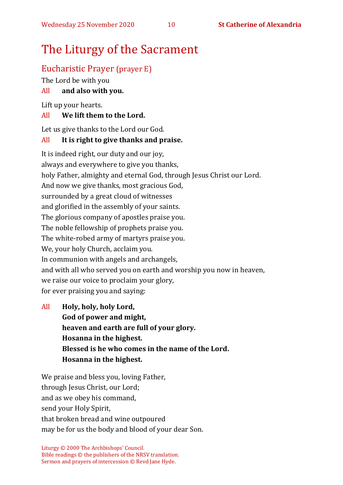# The Liturgy of the Sacrament

## Eucharistic Prayer (prayer E)

The Lord be with you

### All **and also with you.**

Lift up your hearts.

#### All **We lift them to the Lord.**

Let us give thanks to the Lord our God.

### All **It is right to give thanks and praise.**

It is indeed right, our duty and our joy, always and everywhere to give you thanks, holy Father, almighty and eternal God, through Jesus Christ our Lord. And now we give thanks, most gracious God, surrounded by a great cloud of witnesses and glorified in the assembly of your saints. The glorious company of apostles praise you. The noble fellowship of prophets praise you. The white-robed army of martyrs praise you. We, your holy Church, acclaim you. In communion with angels and archangels, and with all who served you on earth and worship you now in heaven, we raise our voice to proclaim your glory, for ever praising you and saying:

All **Holy, holy, holy Lord, God of power and might, heaven and earth are full of your glory. Hosanna in the highest. Blessed is he who comes in the name of the Lord. Hosanna in the highest.**

We praise and bless you, loving Father, through Jesus Christ, our Lord; and as we obey his command, send your Holy Spirit, that broken bread and wine outpoured may be for us the body and blood of your dear Son.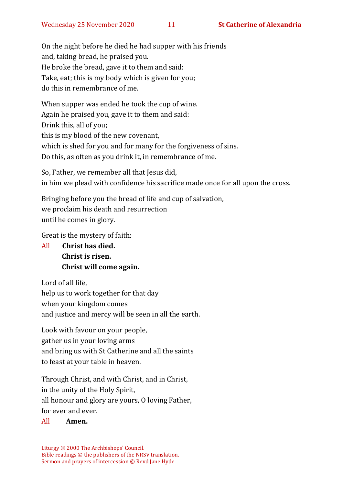On the night before he died he had supper with his friends and, taking bread, he praised you. He broke the bread, gave it to them and said: Take, eat; this is my body which is given for you; do this in remembrance of me.

When supper was ended he took the cup of wine. Again he praised you, gave it to them and said: Drink this, all of you; this is my blood of the new covenant, which is shed for you and for many for the forgiveness of sins. Do this, as often as you drink it, in remembrance of me.

So, Father, we remember all that Jesus did, in him we plead with confidence his sacrifice made once for all upon the cross.

Bringing before you the bread of life and cup of salvation, we proclaim his death and resurrection until he comes in glory.

Great is the mystery of faith:

All **Christ has died. Christ is risen. Christ will come again.**

Lord of all life, help us to work together for that day when your kingdom comes and justice and mercy will be seen in all the earth.

Look with favour on your people, gather us in your loving arms and bring us with St Catherine and all the saints to feast at your table in heaven.

Through Christ, and with Christ, and in Christ, in the unity of the Holy Spirit, all honour and glory are yours, O loving Father, for ever and ever.

#### All **Amen.**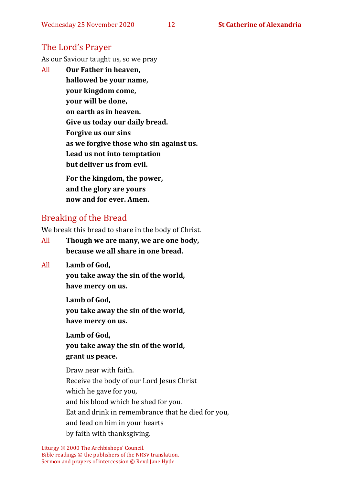# The Lord's Prayer

As our Saviour taught us, so we pray

All **Our Father in heaven, hallowed be your name, your kingdom come, your will be done, on earth as in heaven. Give us today our daily bread. Forgive us our sins as we forgive those who sin against us. Lead us not into temptation but deliver us from evil. For the kingdom, the power,** 

**and the glory are yours now and for ever. Amen.**

# Breaking of the Bread

We break this bread to share in the body of Christ.

- All **Though we are many, we are one body, because we all share in one bread.**
- All **Lamb of God,**

**you take away the sin of the world, have mercy on us.**

**Lamb of God, you take away the sin of the world, have mercy on us.**

**Lamb of God, you take away the sin of the world, grant us peace.**

Draw near with faith. Receive the body of our Lord Jesus Christ which he gave for you, and his blood which he shed for you. Eat and drink in remembrance that he died for you, and feed on him in your hearts by faith with thanksgiving.